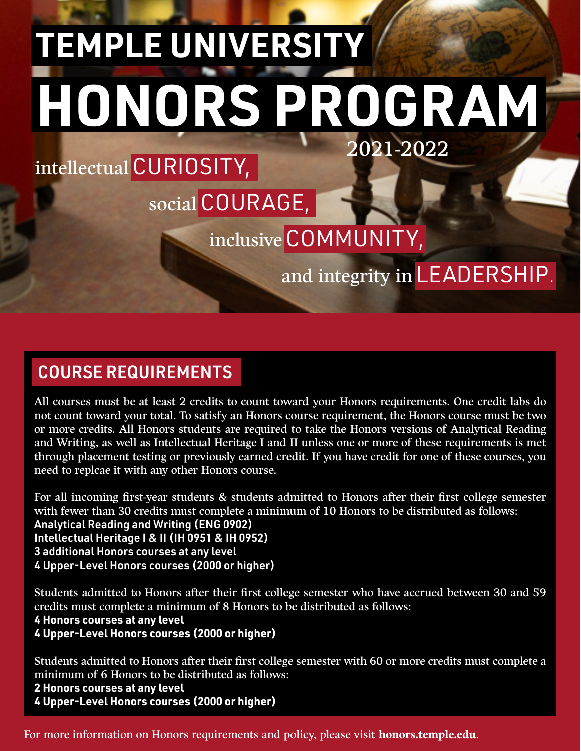# 2021-2022 **TEMPLE UNIVERSITY HONORS PROGRAM**

# intellectual CURIOSITY,

# social COURAGE,

# inclusive COMMUNITY,

and integrity in LEADERSHIP.

### COURSE REQUIREMENTS

All courses must be at least 2 credits to count toward your Honors requirements. One credit labs do not count toward your total. To satisfy an Honors course requirement, the Honors course must be two or more credits. All Honors students are required to take the Honors versions of Analytical Reading and Writing, as well as Intellectual Heritage I and II unless one or more of these requirements is met through placement testing or previously earned credit. If you have credit for one of these courses, you need to replcae it with any other Honors course.

For all incoming first-year students & students admitted to Honors after their first college semester with fewer than 30 credits must complete a minimum of 10 Honors to be distributed as follows: Analytical Reading and Writing (ENG 0902) Intellectual Heritage I & II (IH 0951 & IH 0952) 3 additional Honors courses at any level 4 Upper-Level Honors courses (2000 or higher)

Students admitted to Honors after their first college semester who have accrued between 30 and 59 credits must complete a minimum of 8 Honors to be distributed as follows:

#### **4 Honors courses at any level**

#### **4 Upper-Level Honors courses (2000 or higher)**

Students admitted to Honors after their first college semester with 60 or more credits must complete a minimum of 6 Honors to be distributed as follows:

**2 Honors courses at any level**

**4 Upper-Level Honors courses (2000 or higher)**

For more information on Honors requirements and policy, please visit **honors.temple.edu**.